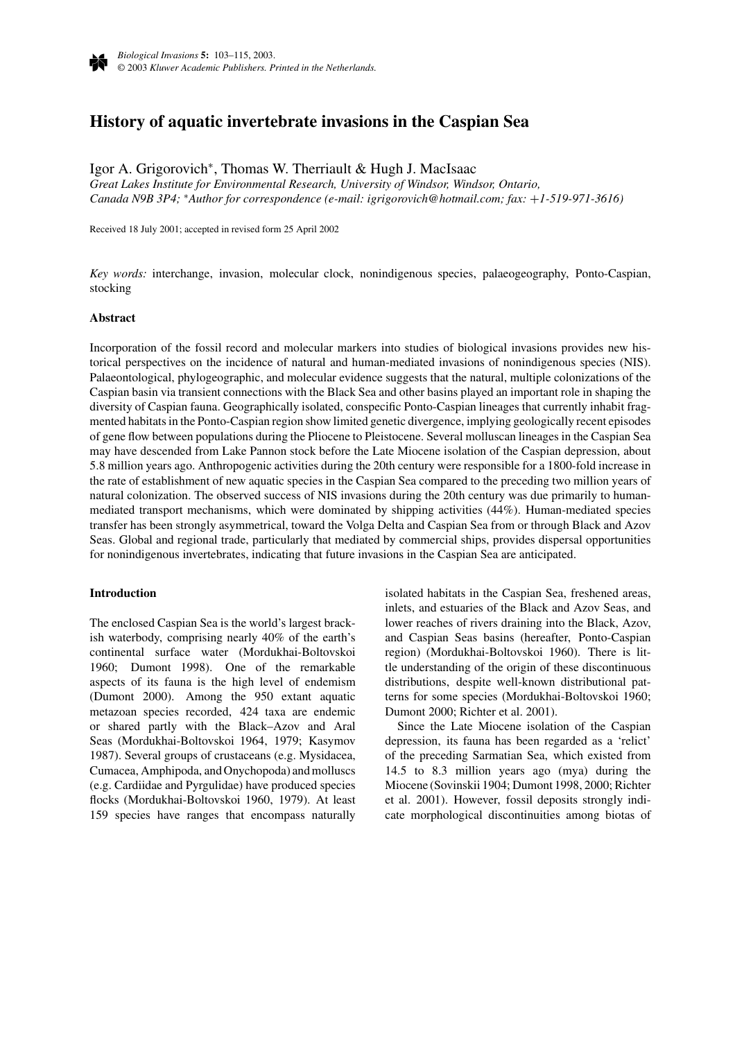

# **History of aquatic invertebrate invasions in the Caspian Sea**

Igor A. Grigorovich∗, Thomas W. Therriault & Hugh J. MacIsaac *Great Lakes Institute for Environmental Research, University of Windsor, Windsor, Ontario, Canada N9B 3P4;* <sup>∗</sup>*Author for correspondence (e-mail: igrigorovich@hotmail.com; fax:* +*1-519-971-3616)*

Received 18 July 2001; accepted in revised form 25 April 2002

*Key words:* interchange, invasion, molecular clock, nonindigenous species, palaeogeography, Ponto-Caspian, stocking

#### **Abstract**

Incorporation of the fossil record and molecular markers into studies of biological invasions provides new historical perspectives on the incidence of natural and human-mediated invasions of nonindigenous species (NIS). Palaeontological, phylogeographic, and molecular evidence suggests that the natural, multiple colonizations of the Caspian basin via transient connections with the Black Sea and other basins played an important role in shaping the diversity of Caspian fauna. Geographically isolated, conspecific Ponto-Caspian lineages that currently inhabit fragmented habitats in the Ponto-Caspian region show limited genetic divergence, implying geologically recent episodes of gene flow between populations during the Pliocene to Pleistocene. Several molluscan lineages in the Caspian Sea may have descended from Lake Pannon stock before the Late Miocene isolation of the Caspian depression, about 5.8 million years ago. Anthropogenic activities during the 20th century were responsible for a 1800-fold increase in the rate of establishment of new aquatic species in the Caspian Sea compared to the preceding two million years of natural colonization. The observed success of NIS invasions during the 20th century was due primarily to humanmediated transport mechanisms, which were dominated by shipping activities (44%). Human-mediated species transfer has been strongly asymmetrical, toward the Volga Delta and Caspian Sea from or through Black and Azov Seas. Global and regional trade, particularly that mediated by commercial ships, provides dispersal opportunities for nonindigenous invertebrates, indicating that future invasions in the Caspian Sea are anticipated.

# **Introduction**

The enclosed Caspian Sea is the world's largest brackish waterbody, comprising nearly 40% of the earth's continental surface water (Mordukhai-Boltovskoi 1960; Dumont 1998). One of the remarkable aspects of its fauna is the high level of endemism (Dumont 2000). Among the 950 extant aquatic metazoan species recorded, 424 taxa are endemic or shared partly with the Black–Azov and Aral Seas (Mordukhai-Boltovskoi 1964, 1979; Kasymov 1987). Several groups of crustaceans (e.g. Mysidacea, Cumacea, Amphipoda, and Onychopoda) and molluscs (e.g. Cardiidae and Pyrgulidae) have produced species flocks (Mordukhai-Boltovskoi 1960, 1979). At least 159 species have ranges that encompass naturally isolated habitats in the Caspian Sea, freshened areas, inlets, and estuaries of the Black and Azov Seas, and lower reaches of rivers draining into the Black, Azov, and Caspian Seas basins (hereafter, Ponto-Caspian region) (Mordukhai-Boltovskoi 1960). There is little understanding of the origin of these discontinuous distributions, despite well-known distributional patterns for some species (Mordukhai-Boltovskoi 1960; Dumont 2000; Richter et al. 2001).

Since the Late Miocene isolation of the Caspian depression, its fauna has been regarded as a 'relict' of the preceding Sarmatian Sea, which existed from 14.5 to 8.3 million years ago (mya) during the Miocene (Sovinskii 1904; Dumont 1998, 2000; Richter et al. 2001). However, fossil deposits strongly indicate morphological discontinuities among biotas of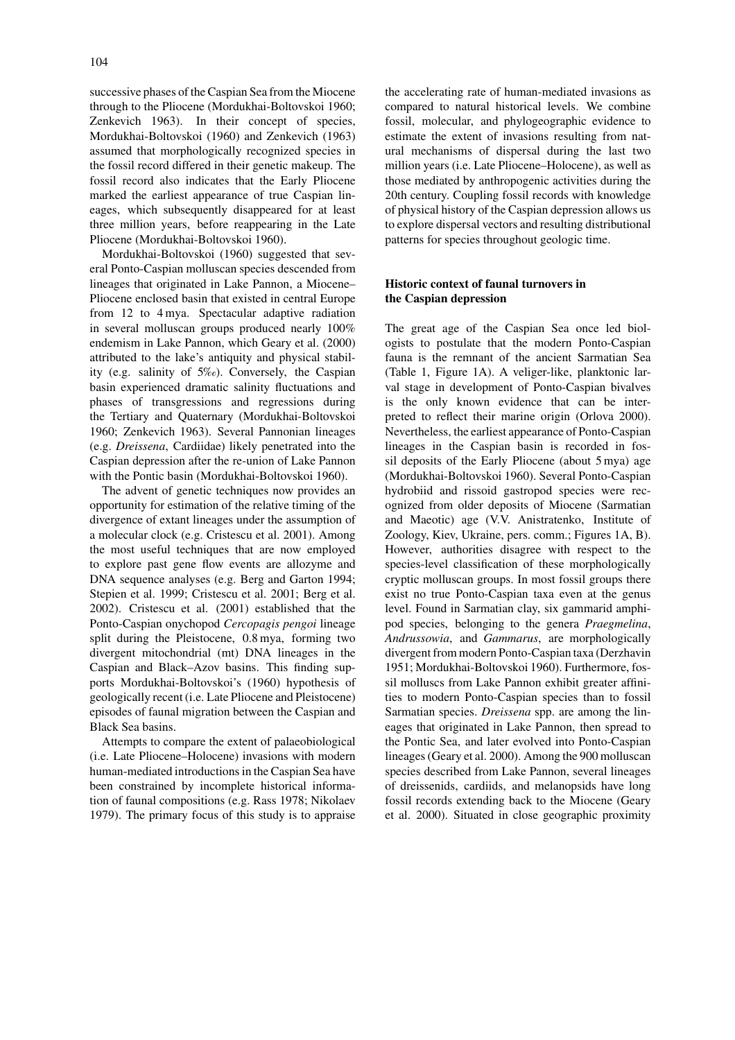successive phases of the Caspian Sea from the Miocene through to the Pliocene (Mordukhai-Boltovskoi 1960; Zenkevich 1963). In their concept of species, Mordukhai-Boltovskoi (1960) and Zenkevich (1963) assumed that morphologically recognized species in the fossil record differed in their genetic makeup. The fossil record also indicates that the Early Pliocene marked the earliest appearance of true Caspian lineages, which subsequently disappeared for at least three million years, before reappearing in the Late Pliocene (Mordukhai-Boltovskoi 1960).

Mordukhai-Boltovskoi (1960) suggested that several Ponto-Caspian molluscan species descended from lineages that originated in Lake Pannon, a Miocene– Pliocene enclosed basin that existed in central Europe from 12 to 4 mya. Spectacular adaptive radiation in several molluscan groups produced nearly 100% endemism in Lake Pannon, which Geary et al. (2000) attributed to the lake's antiquity and physical stability (e.g. salinity of 5‰). Conversely, the Caspian basin experienced dramatic salinity fluctuations and phases of transgressions and regressions during the Tertiary and Quaternary (Mordukhai-Boltovskoi 1960; Zenkevich 1963). Several Pannonian lineages (e.g. *Dreissena*, Cardiidae) likely penetrated into the Caspian depression after the re-union of Lake Pannon with the Pontic basin (Mordukhai-Boltovskoi 1960).

The advent of genetic techniques now provides an opportunity for estimation of the relative timing of the divergence of extant lineages under the assumption of a molecular clock (e.g. Cristescu et al. 2001). Among the most useful techniques that are now employed to explore past gene flow events are allozyme and DNA sequence analyses (e.g. Berg and Garton 1994; Stepien et al. 1999; Cristescu et al. 2001; Berg et al. 2002). Cristescu et al. (2001) established that the Ponto-Caspian onychopod *Cercopagis pengoi* lineage split during the Pleistocene, 0.8 mya, forming two divergent mitochondrial (mt) DNA lineages in the Caspian and Black–Azov basins. This finding supports Mordukhai-Boltovskoi's (1960) hypothesis of geologically recent (i.e. Late Pliocene and Pleistocene) episodes of faunal migration between the Caspian and Black Sea basins.

Attempts to compare the extent of palaeobiological (i.e. Late Pliocene–Holocene) invasions with modern human-mediated introductions in the Caspian Sea have been constrained by incomplete historical information of faunal compositions (e.g. Rass 1978; Nikolaev 1979). The primary focus of this study is to appraise

the accelerating rate of human-mediated invasions as compared to natural historical levels. We combine fossil, molecular, and phylogeographic evidence to estimate the extent of invasions resulting from natural mechanisms of dispersal during the last two million years (i.e. Late Pliocene–Holocene), as well as those mediated by anthropogenic activities during the 20th century. Coupling fossil records with knowledge of physical history of the Caspian depression allows us to explore dispersal vectors and resulting distributional patterns for species throughout geologic time.

## **Historic context of faunal turnovers in the Caspian depression**

The great age of the Caspian Sea once led biologists to postulate that the modern Ponto-Caspian fauna is the remnant of the ancient Sarmatian Sea (Table 1, Figure 1A). A veliger-like, planktonic larval stage in development of Ponto-Caspian bivalves is the only known evidence that can be interpreted to reflect their marine origin (Orlova 2000). Nevertheless, the earliest appearance of Ponto-Caspian lineages in the Caspian basin is recorded in fossil deposits of the Early Pliocene (about 5 mya) age (Mordukhai-Boltovskoi 1960). Several Ponto-Caspian hydrobiid and rissoid gastropod species were recognized from older deposits of Miocene (Sarmatian and Maeotic) age (V.V. Anistratenko, Institute of Zoology, Kiev, Ukraine, pers. comm.; Figures 1A, B). However, authorities disagree with respect to the species-level classification of these morphologically cryptic molluscan groups. In most fossil groups there exist no true Ponto-Caspian taxa even at the genus level. Found in Sarmatian clay, six gammarid amphipod species, belonging to the genera *Praegmelina*, *Andrussowia*, and *Gammarus*, are morphologically divergent from modern Ponto-Caspian taxa (Derzhavin 1951; Mordukhai-Boltovskoi 1960). Furthermore, fossil molluscs from Lake Pannon exhibit greater affinities to modern Ponto-Caspian species than to fossil Sarmatian species. *Dreissena* spp. are among the lineages that originated in Lake Pannon, then spread to the Pontic Sea, and later evolved into Ponto-Caspian lineages (Geary et al. 2000). Among the 900 molluscan species described from Lake Pannon, several lineages of dreissenids, cardiids, and melanopsids have long fossil records extending back to the Miocene (Geary et al. 2000). Situated in close geographic proximity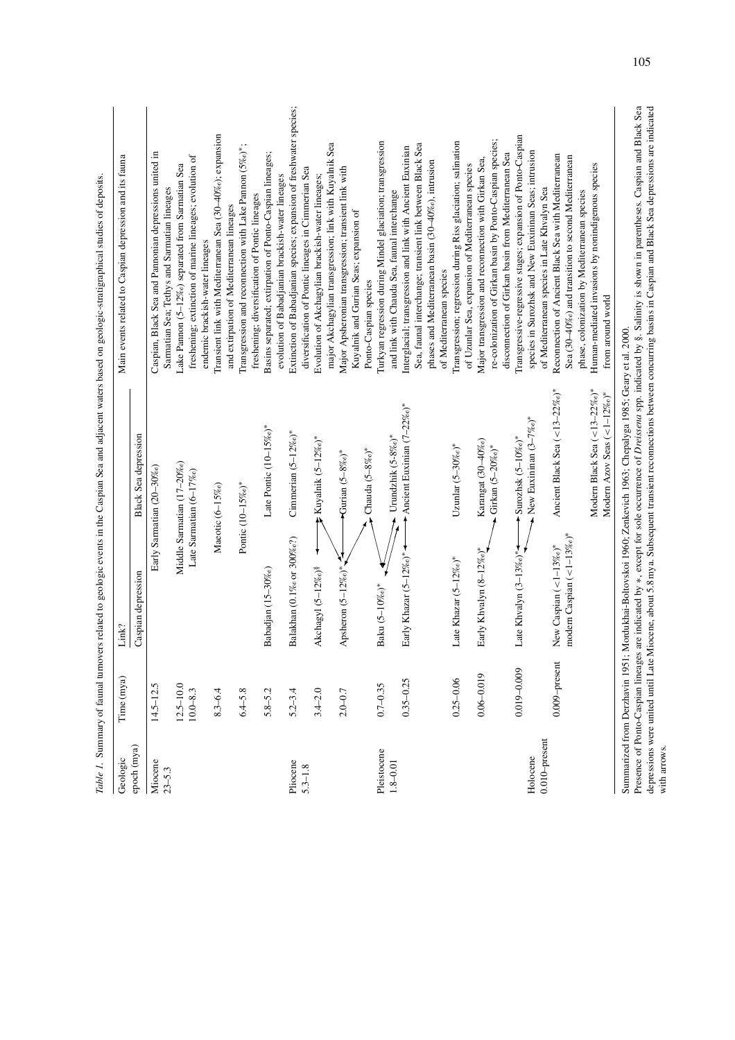| Maeotic (6-15%o)<br>modern Caspian $(<1-13\%_0)^*$<br>Balakhan (0.1% or 300% c?)<br>Early Khazar $(5-12\%_0)^*$<br>New Caspian $(<1-13\%$ o <sup>*</sup><br>Late Khvalyn $(3-13\%_o)^*$<br>Early Khvalyn (8–12‰)*<br>ŧ<br>Late Khazar $(5-12\%_0)^*$<br>Apsheron $(5-12\%_0)^*$<br>$\overline{\mathbf{v}}_{t}$<br>Akchagyl (5-12%o) <sup>8</sup><br>Babadjan (15-30%o)<br>Caspian depression<br>Baku (5-10%o)*<br>$0.009$ -present<br>$0.019 - 0.009$<br>$0.06 - 0.019$<br>$0.25 - 0.06$<br>$0.35 - 0.25$<br>$14.5 - 12.5$<br>$12.5 - 10.0$<br>$0.7 - 0.35$<br>$8.3 - 6.4$<br>$6.4 - 5.8$<br>$3.4 - 2.0$<br>$2.0 - 0.7$<br>$10.0 - 8.3$<br>$5.8 - 5.2$<br>$5.2 - 3.4$<br>$0.010$ -present<br>epoch (mya)<br>Pleistocene<br>Holocene<br>Miocene<br>Pliocene<br>$1.8 - 0.01$<br>$5.3 - 1.8$<br>$23 - 5.3$ |                                            | Main events related to Caspian depression and its fauna                                                      |
|---------------------------------------------------------------------------------------------------------------------------------------------------------------------------------------------------------------------------------------------------------------------------------------------------------------------------------------------------------------------------------------------------------------------------------------------------------------------------------------------------------------------------------------------------------------------------------------------------------------------------------------------------------------------------------------------------------------------------------------------------------------------------------------------------------|--------------------------------------------|--------------------------------------------------------------------------------------------------------------|
|                                                                                                                                                                                                                                                                                                                                                                                                                                                                                                                                                                                                                                                                                                                                                                                                         | <b>Black Sea depression</b>                |                                                                                                              |
|                                                                                                                                                                                                                                                                                                                                                                                                                                                                                                                                                                                                                                                                                                                                                                                                         | Early Sarmatian (20-30%o)                  | Caspian, Black Sea and Pannonian depressions united in<br>Sarmatian Sea; Tethys and Sarmatian lineages       |
|                                                                                                                                                                                                                                                                                                                                                                                                                                                                                                                                                                                                                                                                                                                                                                                                         | Middle Sarmatian (17-20%o)                 | Lake Pannon (5-12%%) separated from Sarmatian Sea                                                            |
|                                                                                                                                                                                                                                                                                                                                                                                                                                                                                                                                                                                                                                                                                                                                                                                                         | Late Sarmatian (6-17%o)                    | freshening; extinction of marine lineages; evolution of                                                      |
|                                                                                                                                                                                                                                                                                                                                                                                                                                                                                                                                                                                                                                                                                                                                                                                                         |                                            | endemic brackish-water lineages                                                                              |
|                                                                                                                                                                                                                                                                                                                                                                                                                                                                                                                                                                                                                                                                                                                                                                                                         |                                            | Transient link with Mediterranean Sea (30-40%o); expansion<br>and extirpation of Mediterranean lineages      |
|                                                                                                                                                                                                                                                                                                                                                                                                                                                                                                                                                                                                                                                                                                                                                                                                         | Pontic (10-15%o)*                          | Transgression and reconnection with Lake Pannon $(5\%_{0})^*$ ;                                              |
|                                                                                                                                                                                                                                                                                                                                                                                                                                                                                                                                                                                                                                                                                                                                                                                                         |                                            | freshening; diversification of Pontic lineages                                                               |
|                                                                                                                                                                                                                                                                                                                                                                                                                                                                                                                                                                                                                                                                                                                                                                                                         | Late Pontic $(10-15\%)^*$                  | Basins separated; extirpation of Ponto-Caspian lineages;<br>evolution of Babadjanian brackish-water lineages |
|                                                                                                                                                                                                                                                                                                                                                                                                                                                                                                                                                                                                                                                                                                                                                                                                         | Cimmerian $(5-12\%o)$ *                    | Extinction of Babadjanian species; expansion of freshwater species;                                          |
|                                                                                                                                                                                                                                                                                                                                                                                                                                                                                                                                                                                                                                                                                                                                                                                                         |                                            | diversification of Pontic lineages in Cimmerian Sea                                                          |
|                                                                                                                                                                                                                                                                                                                                                                                                                                                                                                                                                                                                                                                                                                                                                                                                         | $*$ Kuyalnik (5-12%o)*                     | Evolution of Akchagylian brackish-water lineages;                                                            |
|                                                                                                                                                                                                                                                                                                                                                                                                                                                                                                                                                                                                                                                                                                                                                                                                         |                                            | major Akchagylian transgression; link with Kuyalnik Sea                                                      |
|                                                                                                                                                                                                                                                                                                                                                                                                                                                                                                                                                                                                                                                                                                                                                                                                         | $\blacktriangleright$ Gurian (5-8%o)*      | Major Apsheronian transgression; transient link with                                                         |
|                                                                                                                                                                                                                                                                                                                                                                                                                                                                                                                                                                                                                                                                                                                                                                                                         |                                            | Kuyalnik and Gurian Seas; expansion of                                                                       |
|                                                                                                                                                                                                                                                                                                                                                                                                                                                                                                                                                                                                                                                                                                                                                                                                         | Chauda $(5-8\%_o)^*$                       | Ponto-Caspian species                                                                                        |
|                                                                                                                                                                                                                                                                                                                                                                                                                                                                                                                                                                                                                                                                                                                                                                                                         |                                            | Turkyan regression during Mindel glaciation; transgression                                                   |
|                                                                                                                                                                                                                                                                                                                                                                                                                                                                                                                                                                                                                                                                                                                                                                                                         | Urundzhik $(5-8\%_0)^*$                    | and link with Chauda Sea, faunal interchange                                                                 |
|                                                                                                                                                                                                                                                                                                                                                                                                                                                                                                                                                                                                                                                                                                                                                                                                         | Ancient Euxinian $(7-22\%)^*$              | Interglacial; transgression and link with Ancient Euxinian                                                   |
|                                                                                                                                                                                                                                                                                                                                                                                                                                                                                                                                                                                                                                                                                                                                                                                                         |                                            | Sea, faunal interchange; transient link between Black Sea                                                    |
|                                                                                                                                                                                                                                                                                                                                                                                                                                                                                                                                                                                                                                                                                                                                                                                                         |                                            | phases and Mediterranean basin (30-40%%), intrusion                                                          |
|                                                                                                                                                                                                                                                                                                                                                                                                                                                                                                                                                                                                                                                                                                                                                                                                         |                                            | of Mediterranean species                                                                                     |
|                                                                                                                                                                                                                                                                                                                                                                                                                                                                                                                                                                                                                                                                                                                                                                                                         | Uzunlar $(5-30\%_{o})^*$                   | Transgression; regression during Riss glaciation; salination                                                 |
|                                                                                                                                                                                                                                                                                                                                                                                                                                                                                                                                                                                                                                                                                                                                                                                                         |                                            | of Uzunlar Sea, expansion of Mediterranean species                                                           |
|                                                                                                                                                                                                                                                                                                                                                                                                                                                                                                                                                                                                                                                                                                                                                                                                         | Karangat (30-40%o)                         | Major transgression and reconnection with Girkan Sea,                                                        |
|                                                                                                                                                                                                                                                                                                                                                                                                                                                                                                                                                                                                                                                                                                                                                                                                         | Girkan $(5-20\%_0)^*$                      | re-colonization of Girkan basin by Ponto-Caspian species;                                                    |
|                                                                                                                                                                                                                                                                                                                                                                                                                                                                                                                                                                                                                                                                                                                                                                                                         |                                            | disconnection of Girkan basin from Mediterranean Sea                                                         |
|                                                                                                                                                                                                                                                                                                                                                                                                                                                                                                                                                                                                                                                                                                                                                                                                         | $\text{Surozhsk}$ (5-10%o)*                | Transgressive-regressive stages; expansion of Ponto-Caspian                                                  |
|                                                                                                                                                                                                                                                                                                                                                                                                                                                                                                                                                                                                                                                                                                                                                                                                         | New Euxininan $(3-7\%)^*$                  | species in Surozhsk and New Euxininan Seas; intrusion                                                        |
|                                                                                                                                                                                                                                                                                                                                                                                                                                                                                                                                                                                                                                                                                                                                                                                                         |                                            | of Mediterranean species in Late Khvalyn Sea                                                                 |
|                                                                                                                                                                                                                                                                                                                                                                                                                                                                                                                                                                                                                                                                                                                                                                                                         | Ancient Black Sea (<13-22%o)*              | Reconnection of Ancient Black Sea with Mediterranean                                                         |
|                                                                                                                                                                                                                                                                                                                                                                                                                                                                                                                                                                                                                                                                                                                                                                                                         |                                            | Sea (30-40%o) and transition to second Mediterranean<br>phase, colonization by Mediterranean species         |
|                                                                                                                                                                                                                                                                                                                                                                                                                                                                                                                                                                                                                                                                                                                                                                                                         | Modern Black Sea (<13-22%o)*               | Human-mediated invasions by nonindigenous species                                                            |
|                                                                                                                                                                                                                                                                                                                                                                                                                                                                                                                                                                                                                                                                                                                                                                                                         | Modern Azov Seas $(<1-12\%$ o <sup>*</sup> | from around world                                                                                            |

*Table 1.* Summary of faunal turnovers related to geologic events in the Caspian Sea and adjacent waters based on geologic-stratigraphical studies of deposits.  $\ddot{f}$ Ŕ  $\frac{1}{2}$ Ŕ  $\ddot{\cdot}$  $\frac{1}{2}$ ر<br>م  $\frac{1}{2}$ J. ،<br>منابع<br>ما نې<br>ت d Č وسط والمستقبل  $\frac{1}{2}$  $\frac{1}{2}$  $\overline{1}$ ۱.<br>ت  $f_{\rm eff}$ Table 1. Sur Persence of Ponto-Caspian lineages are indicated by \*, except for sole occurrence of *Dreissena* spp. indicated by \$. Salinity is shown in parentheses. Caspian and Black Sea depressions were united until Late Miocene, abou Presence of Ponto-Caspian lineages are indicated by ∗, except for sole occurrence of *Dreissena* spp. indicated by §. Salinity is shown in parentheses. Caspian and Black Sea depressions were united until Late Miocene, about 5.8 mya. Subsequent transient reconnections between concurring basins in Caspian and Black Sea depressions are indicated with arrows.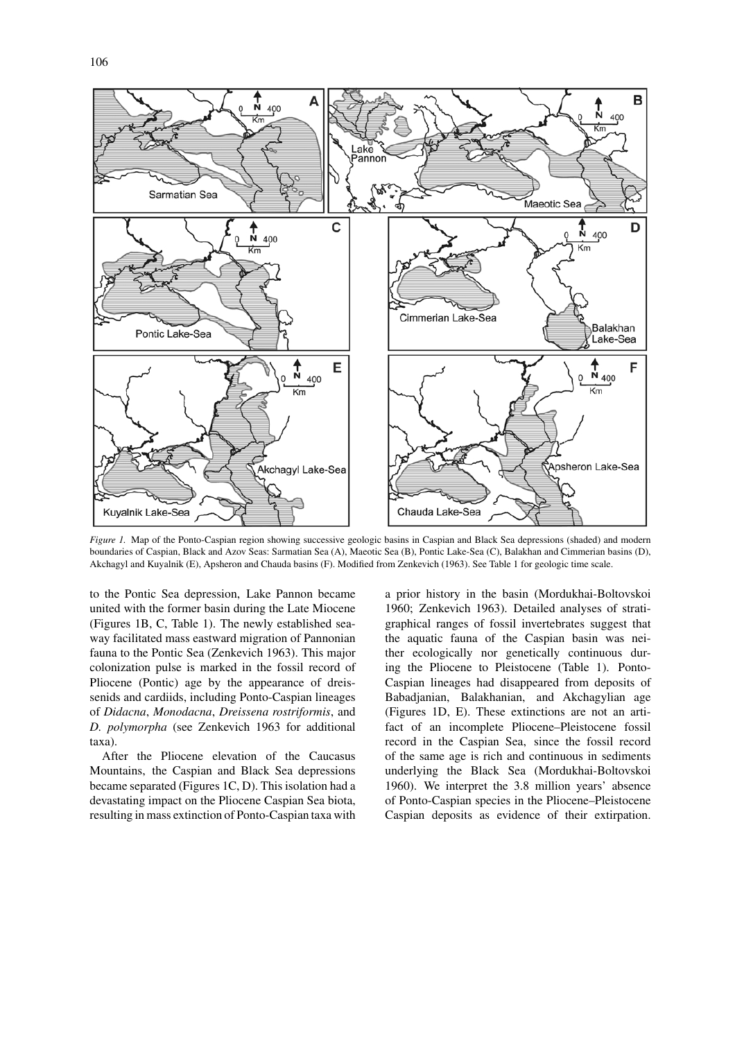

*Figure 1.* Map of the Ponto-Caspian region showing successive geologic basins in Caspian and Black Sea depressions (shaded) and modern boundaries of Caspian, Black and Azov Seas: Sarmatian Sea (A), Maeotic Sea (B), Pontic Lake-Sea (C), Balakhan and Cimmerian basins (D), Akchagyl and Kuyalnik (E), Apsheron and Chauda basins (F). Modified from Zenkevich (1963). See Table 1 for geologic time scale.

to the Pontic Sea depression, Lake Pannon became united with the former basin during the Late Miocene (Figures 1B, C, Table 1). The newly established seaway facilitated mass eastward migration of Pannonian fauna to the Pontic Sea (Zenkevich 1963). This major colonization pulse is marked in the fossil record of Pliocene (Pontic) age by the appearance of dreissenids and cardiids, including Ponto-Caspian lineages of *Didacna*, *Monodacna*, *Dreissena rostriformis*, and *D. polymorpha* (see Zenkevich 1963 for additional taxa).

After the Pliocene elevation of the Caucasus Mountains, the Caspian and Black Sea depressions became separated (Figures 1C, D). This isolation had a devastating impact on the Pliocene Caspian Sea biota, resulting in mass extinction of Ponto-Caspian taxa with a prior history in the basin (Mordukhai-Boltovskoi 1960; Zenkevich 1963). Detailed analyses of stratigraphical ranges of fossil invertebrates suggest that the aquatic fauna of the Caspian basin was neither ecologically nor genetically continuous during the Pliocene to Pleistocene (Table 1). Ponto-Caspian lineages had disappeared from deposits of Babadjanian, Balakhanian, and Akchagylian age (Figures 1D, E). These extinctions are not an artifact of an incomplete Pliocene–Pleistocene fossil record in the Caspian Sea, since the fossil record of the same age is rich and continuous in sediments underlying the Black Sea (Mordukhai-Boltovskoi 1960). We interpret the 3.8 million years' absence of Ponto-Caspian species in the Pliocene–Pleistocene Caspian deposits as evidence of their extirpation.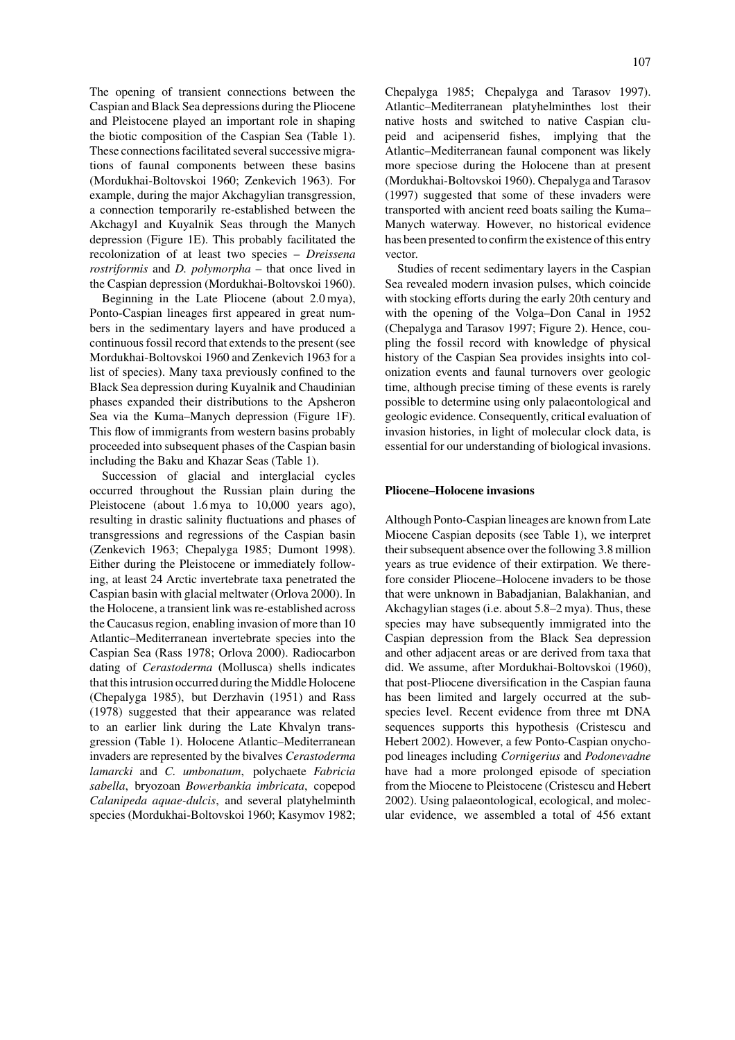The opening of transient connections between the Caspian and Black Sea depressions during the Pliocene and Pleistocene played an important role in shaping the biotic composition of the Caspian Sea (Table 1). These connections facilitated several successive migrations of faunal components between these basins (Mordukhai-Boltovskoi 1960; Zenkevich 1963). For example, during the major Akchagylian transgression, a connection temporarily re-established between the Akchagyl and Kuyalnik Seas through the Manych depression (Figure 1E). This probably facilitated the recolonization of at least two species – *Dreissena rostriformis* and *D. polymorpha* – that once lived in the Caspian depression (Mordukhai-Boltovskoi 1960).

Beginning in the Late Pliocene (about 2.0 mya), Ponto-Caspian lineages first appeared in great numbers in the sedimentary layers and have produced a continuous fossil record that extends to the present (see Mordukhai-Boltovskoi 1960 and Zenkevich 1963 for a list of species). Many taxa previously confined to the Black Sea depression during Kuyalnik and Chaudinian phases expanded their distributions to the Apsheron Sea via the Kuma–Manych depression (Figure 1F). This flow of immigrants from western basins probably proceeded into subsequent phases of the Caspian basin including the Baku and Khazar Seas (Table 1).

Succession of glacial and interglacial cycles occurred throughout the Russian plain during the Pleistocene (about 1.6 mya to 10,000 years ago), resulting in drastic salinity fluctuations and phases of transgressions and regressions of the Caspian basin (Zenkevich 1963; Chepalyga 1985; Dumont 1998). Either during the Pleistocene or immediately following, at least 24 Arctic invertebrate taxa penetrated the Caspian basin with glacial meltwater (Orlova 2000). In the Holocene, a transient link was re-established across the Caucasus region, enabling invasion of more than 10 Atlantic–Mediterranean invertebrate species into the Caspian Sea (Rass 1978; Orlova 2000). Radiocarbon dating of *Cerastoderma* (Mollusca) shells indicates that this intrusion occurred during the Middle Holocene (Chepalyga 1985), but Derzhavin (1951) and Rass (1978) suggested that their appearance was related to an earlier link during the Late Khvalyn transgression (Table 1). Holocene Atlantic–Mediterranean invaders are represented by the bivalves *Cerastoderma lamarcki* and *C. umbonatum*, polychaete *Fabricia sabella*, bryozoan *Bowerbankia imbricata*, copepod *Calanipeda aquae-dulcis*, and several platyhelminth species (Mordukhai-Boltovskoi 1960; Kasymov 1982; Chepalyga 1985; Chepalyga and Tarasov 1997). Atlantic–Mediterranean platyhelminthes lost their native hosts and switched to native Caspian clupeid and acipenserid fishes, implying that the Atlantic–Mediterranean faunal component was likely more speciose during the Holocene than at present (Mordukhai-Boltovskoi 1960). Chepalyga and Tarasov (1997) suggested that some of these invaders were transported with ancient reed boats sailing the Kuma– Manych waterway. However, no historical evidence has been presented to confirm the existence of this entry vector.

Studies of recent sedimentary layers in the Caspian Sea revealed modern invasion pulses, which coincide with stocking efforts during the early 20th century and with the opening of the Volga–Don Canal in 1952 (Chepalyga and Tarasov 1997; Figure 2). Hence, coupling the fossil record with knowledge of physical history of the Caspian Sea provides insights into colonization events and faunal turnovers over geologic time, although precise timing of these events is rarely possible to determine using only palaeontological and geologic evidence. Consequently, critical evaluation of invasion histories, in light of molecular clock data, is essential for our understanding of biological invasions.

#### **Pliocene–Holocene invasions**

Although Ponto-Caspian lineages are known from Late Miocene Caspian deposits (see Table 1), we interpret their subsequent absence over the following 3.8 million years as true evidence of their extirpation. We therefore consider Pliocene–Holocene invaders to be those that were unknown in Babadjanian, Balakhanian, and Akchagylian stages (i.e. about 5.8–2 mya). Thus, these species may have subsequently immigrated into the Caspian depression from the Black Sea depression and other adjacent areas or are derived from taxa that did. We assume, after Mordukhai-Boltovskoi (1960), that post-Pliocene diversification in the Caspian fauna has been limited and largely occurred at the subspecies level. Recent evidence from three mt DNA sequences supports this hypothesis (Cristescu and Hebert 2002). However, a few Ponto-Caspian onychopod lineages including *Cornigerius* and *Podonevadne* have had a more prolonged episode of speciation from the Miocene to Pleistocene (Cristescu and Hebert 2002). Using palaeontological, ecological, and molecular evidence, we assembled a total of 456 extant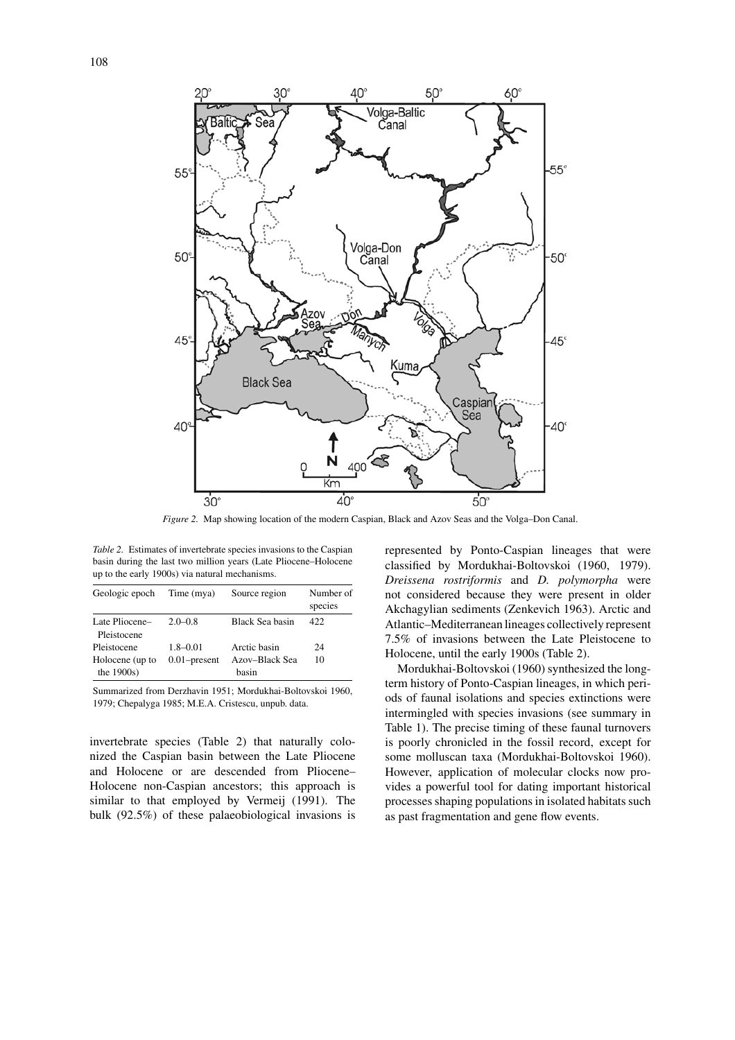

*Figure 2.* Map showing location of the modern Caspian, Black and Azov Seas and the Volga–Don Canal.

*Table 2.* Estimates of invertebrate species invasions to the Caspian basin during the last two million years (Late Pliocene–Holocene up to the early 1900s) via natural mechanisms.

| Geologic epoch                   | Time (mya)      | Source region           | Number of<br>species |
|----------------------------------|-----------------|-------------------------|----------------------|
| Late Pliocene-<br>Pleistocene    | $2.0 - 0.8$     | Black Sea basin         | 422                  |
| Pleistocene                      | $1.8 - 0.01$    | Arctic basin            | 24                   |
| Holocene (up to<br>the $1900s$ ) | $0.01$ -present | Azov-Black Sea<br>basin | 10                   |

Summarized from Derzhavin 1951; Mordukhai-Boltovskoi 1960, 1979; Chepalyga 1985; M.E.A. Cristescu, unpub. data.

invertebrate species (Table 2) that naturally colonized the Caspian basin between the Late Pliocene and Holocene or are descended from Pliocene– Holocene non-Caspian ancestors; this approach is similar to that employed by Vermeij (1991). The bulk (92.5%) of these palaeobiological invasions is represented by Ponto-Caspian lineages that were classified by Mordukhai-Boltovskoi (1960, 1979). *Dreissena rostriformis* and *D. polymorpha* were not considered because they were present in older Akchagylian sediments (Zenkevich 1963). Arctic and Atlantic–Mediterranean lineages collectively represent 7.5% of invasions between the Late Pleistocene to Holocene, until the early 1900s (Table 2).

Mordukhai-Boltovskoi (1960) synthesized the longterm history of Ponto-Caspian lineages, in which periods of faunal isolations and species extinctions were intermingled with species invasions (see summary in Table 1). The precise timing of these faunal turnovers is poorly chronicled in the fossil record, except for some molluscan taxa (Mordukhai-Boltovskoi 1960). However, application of molecular clocks now provides a powerful tool for dating important historical processes shaping populations in isolated habitats such as past fragmentation and gene flow events.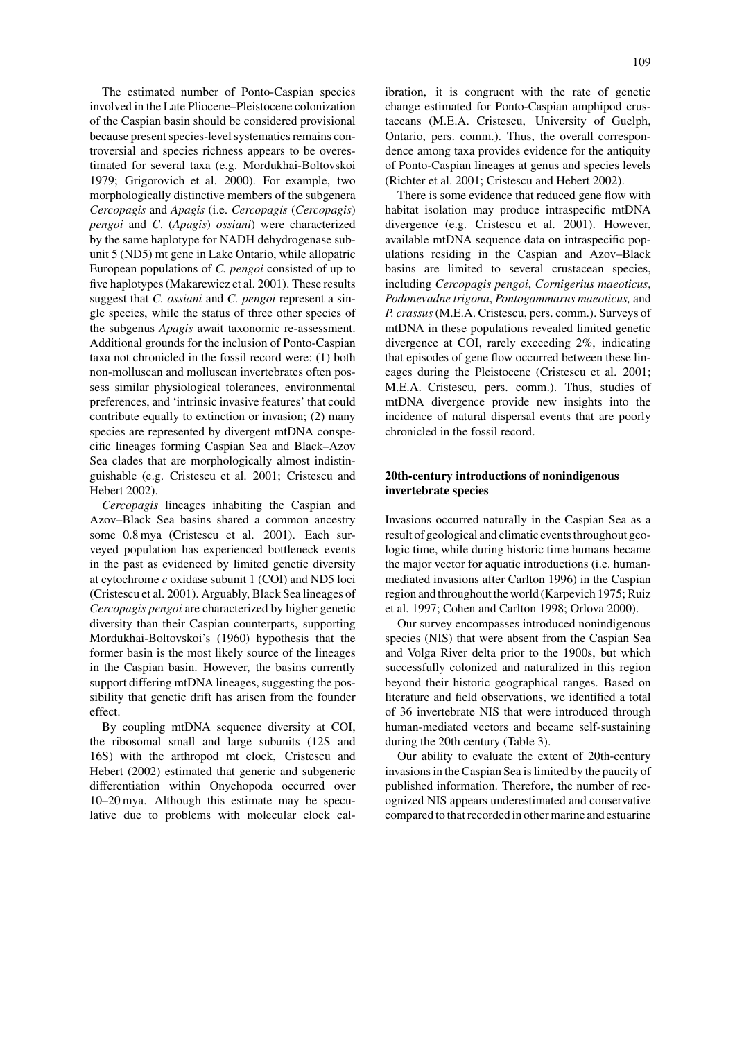The estimated number of Ponto-Caspian species involved in the Late Pliocene–Pleistocene colonization of the Caspian basin should be considered provisional because present species-level systematics remains controversial and species richness appears to be overestimated for several taxa (e.g. Mordukhai-Boltovskoi 1979; Grigorovich et al. 2000). For example, two morphologically distinctive members of the subgenera *Cercopagis* and *Apagis* (i.e. *Cercopagis* (*Cercopagis*) *pengoi* and *C*. (*Apagis*) *ossiani*) were characterized by the same haplotype for NADH dehydrogenase subunit 5 (ND5) mt gene in Lake Ontario, while allopatric European populations of *C. pengoi* consisted of up to five haplotypes (Makarewicz et al. 2001). These results suggest that *C. ossiani* and *C. pengoi* represent a single species, while the status of three other species of the subgenus *Apagis* await taxonomic re-assessment. Additional grounds for the inclusion of Ponto-Caspian taxa not chronicled in the fossil record were: (1) both non-molluscan and molluscan invertebrates often possess similar physiological tolerances, environmental preferences, and 'intrinsic invasive features' that could contribute equally to extinction or invasion; (2) many species are represented by divergent mtDNA conspecific lineages forming Caspian Sea and Black–Azov Sea clades that are morphologically almost indistinguishable (e.g. Cristescu et al. 2001; Cristescu and Hebert 2002).

*Cercopagis* lineages inhabiting the Caspian and Azov–Black Sea basins shared a common ancestry some 0.8 mya (Cristescu et al. 2001). Each surveyed population has experienced bottleneck events in the past as evidenced by limited genetic diversity at cytochrome c oxidase subunit 1 (COI) and ND5 loci (Cristescu et al. 2001). Arguably, Black Sea lineages of *Cercopagis pengoi* are characterized by higher genetic diversity than their Caspian counterparts, supporting Mordukhai-Boltovskoi's (1960) hypothesis that the former basin is the most likely source of the lineages in the Caspian basin. However, the basins currently support differing mtDNA lineages, suggesting the possibility that genetic drift has arisen from the founder effect.

By coupling mtDNA sequence diversity at COI, the ribosomal small and large subunits (12S and 16S) with the arthropod mt clock, Cristescu and Hebert (2002) estimated that generic and subgeneric differentiation within Onychopoda occurred over 10–20 mya. Although this estimate may be speculative due to problems with molecular clock calibration, it is congruent with the rate of genetic change estimated for Ponto-Caspian amphipod crustaceans (M.E.A. Cristescu, University of Guelph, Ontario, pers. comm.). Thus, the overall correspondence among taxa provides evidence for the antiquity of Ponto-Caspian lineages at genus and species levels (Richter et al. 2001; Cristescu and Hebert 2002).

There is some evidence that reduced gene flow with habitat isolation may produce intraspecific mtDNA divergence (e.g. Cristescu et al. 2001). However, available mtDNA sequence data on intraspecific populations residing in the Caspian and Azov–Black basins are limited to several crustacean species, including *Cercopagis pengoi*, *Cornigerius maeoticus*, *Podonevadne trigona*, *Pontogammarus maeoticus,* and *P. crassus*(M.E.A. Cristescu, pers. comm.). Surveys of mtDNA in these populations revealed limited genetic divergence at COI, rarely exceeding 2%, indicating that episodes of gene flow occurred between these lineages during the Pleistocene (Cristescu et al. 2001; M.E.A. Cristescu, pers. comm.). Thus, studies of mtDNA divergence provide new insights into the incidence of natural dispersal events that are poorly chronicled in the fossil record.

# **20th-century introductions of nonindigenous invertebrate species**

Invasions occurred naturally in the Caspian Sea as a result of geological and climatic events throughout geologic time, while during historic time humans became the major vector for aquatic introductions (i.e. humanmediated invasions after Carlton 1996) in the Caspian region and throughout the world (Karpevich 1975; Ruiz et al. 1997; Cohen and Carlton 1998; Orlova 2000).

Our survey encompasses introduced nonindigenous species (NIS) that were absent from the Caspian Sea and Volga River delta prior to the 1900s, but which successfully colonized and naturalized in this region beyond their historic geographical ranges. Based on literature and field observations, we identified a total of 36 invertebrate NIS that were introduced through human-mediated vectors and became self-sustaining during the 20th century (Table 3).

Our ability to evaluate the extent of 20th-century invasions in the Caspian Sea is limited by the paucity of published information. Therefore, the number of recognized NIS appears underestimated and conservative compared to that recorded in other marine and estuarine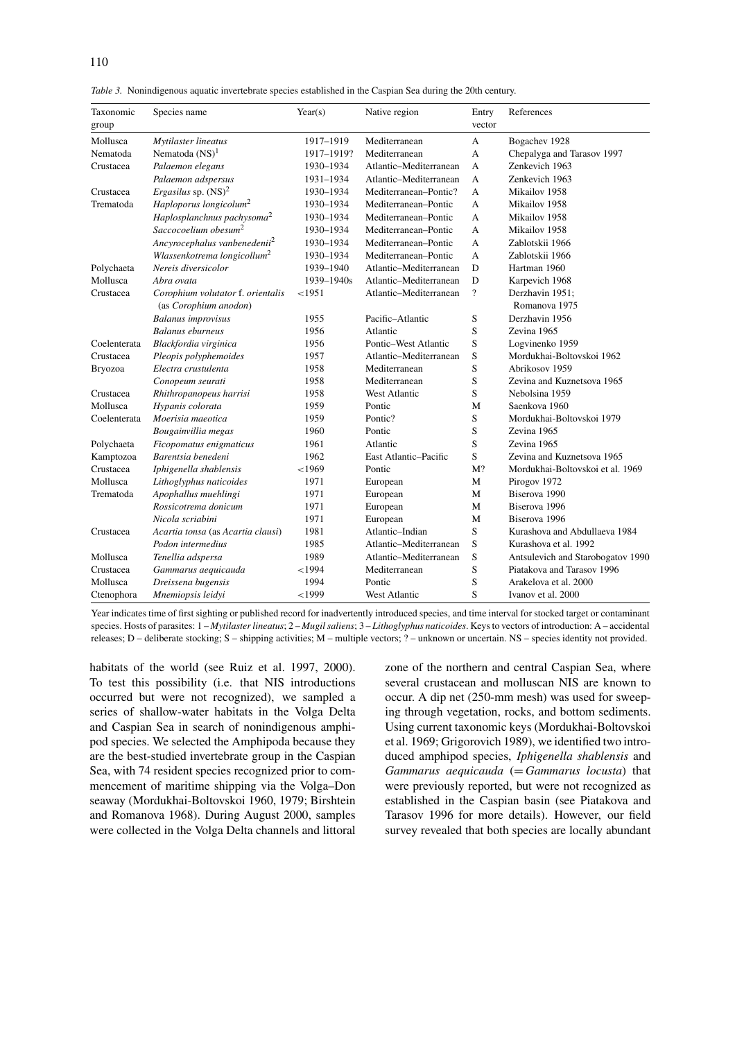| Taxonomic<br>group | Species name                                               | Year(s)    | Native region          | Entry<br>vector | References                        |
|--------------------|------------------------------------------------------------|------------|------------------------|-----------------|-----------------------------------|
| Mollusca           | Mytilaster lineatus                                        | 1917-1919  | Mediterranean          | A               | Bogachev 1928                     |
| Nematoda           | Nematoda $(NS)^1$                                          | 1917-1919? | Mediterranean          | A               | Chepalyga and Tarasov 1997        |
| Crustacea          | Palaemon elegans                                           | 1930-1934  | Atlantic-Mediterranean | $\mathbf{A}$    | Zenkevich 1963                    |
|                    | Palaemon adspersus                                         | 1931-1934  | Atlantic-Mediterranean | $\mathsf{A}$    | Zenkevich 1963                    |
| Crustacea          | Ergasilus sp. $(NS)^2$                                     | 1930-1934  | Mediterranean-Pontic?  | A               | Mikailov 1958                     |
| Trematoda          |                                                            | 1930-1934  | Mediterranean-Pontic   | A               |                                   |
|                    | Haploporus longicolum <sup>2</sup>                         |            |                        |                 | Mikailov 1958                     |
|                    | Haplosplanchnus pachysoma <sup>2</sup>                     | 1930-1934  | Mediterranean-Pontic   | $\overline{A}$  | Mikailov 1958                     |
|                    | Saccocoelium obesum <sup>2</sup>                           | 1930-1934  | Mediterranean-Pontic   | $\overline{A}$  | Mikailov 1958                     |
|                    | Ancyrocephalus vanbenedenii <sup>2</sup>                   | 1930-1934  | Mediterranean-Pontic   | $\overline{A}$  | Zablotskii 1966                   |
|                    | Wlassenkotrema longicollum <sup>2</sup>                    | 1930-1934  | Mediterranean-Pontic   | $\overline{A}$  | Zablotskii 1966                   |
| Polychaeta         | Nereis diversicolor                                        | 1939-1940  | Atlantic-Mediterranean | D               | Hartman 1960                      |
| Mollusca           | Abra ovata                                                 | 1939-1940s | Atlantic-Mediterranean | D               | Karpevich 1968                    |
| Crustacea          | Corophium volutator f. orientalis<br>(as Corophium anodon) | <1951      | Atlantic-Mediterranean | $\overline{?}$  | Derzhavin 1951;<br>Romanova 1975  |
|                    | <b>Balanus</b> improvisus                                  | 1955       | Pacific-Atlantic       | S               | Derzhavin 1956                    |
|                    | Balanus eburneus                                           | 1956       | Atlantic               | S               | Zevina 1965                       |
| Coelenterata       | Blackfordia virginica                                      | 1956       | Pontic–West Atlantic   | S               | Logvinenko 1959                   |
| Crustacea          | Pleopis polyphemoides                                      | 1957       | Atlantic-Mediterranean | S               | Mordukhai-Boltovskoi 1962         |
| Bryozoa            | Electra crustulenta                                        | 1958       | Mediterranean          | S               | Abrikosov 1959                    |
|                    | Conopeum seurati                                           | 1958       | Mediterranean          | S               | Zevina and Kuznetsova 1965        |
| Crustacea          | Rhithropanopeus harrisi                                    | 1958       | West Atlantic          | S               | Nebolsina 1959                    |
| Mollusca           | Hypanis colorata                                           | 1959       | Pontic                 | M               | Saenkova 1960                     |
| Coelenterata       | Moerisia maeotica                                          | 1959       | Pontic?                | S               | Mordukhai-Boltovskoi 1979         |
|                    | Bougainvillia megas                                        | 1960       | Pontic                 | S               | Zevina 1965                       |
| Polychaeta         | Ficopomatus enigmaticus                                    | 1961       | Atlantic               | S               | Zevina 1965                       |
| Kamptozoa          | Barentsia benedeni                                         | 1962       | East Atlantic-Pacific  | S               | Zevina and Kuznetsova 1965        |
| Crustacea          | Iphigenella shablensis                                     | < 1969     | Pontic                 | M <sup>2</sup>  | Mordukhai-Boltovskoi et al. 1969  |
| Mollusca           | Lithoglyphus naticoides                                    | 1971       | European               | M               | Pirogov 1972                      |
| Trematoda          | Apophallus muehlingi                                       | 1971       | European               | M               | Biserova 1990                     |
|                    | Rossicotrema donicum                                       | 1971       | European               | M               | Biserova 1996                     |
|                    | Nicola scriabini                                           | 1971       | European               | M               | Biserova 1996                     |
| Crustacea          | Acartia tonsa (as Acartia clausi)                          | 1981       | Atlantic-Indian        | S               | Kurashova and Abdullaeva 1984     |
|                    | Podon intermedius                                          | 1985       | Atlantic-Mediterranean | S               | Kurashova et al. 1992             |
| Mollusca           | Tenellia adspersa                                          | 1989       | Atlantic-Mediterranean | S               | Antsulevich and Starobogatov 1990 |
| Crustacea          | Gammarus aequicauda                                        | $<$ 1994   | Mediterranean          | S               | Piatakova and Tarasov 1996        |
| Mollusca           | Dreissena bugensis                                         | 1994       | Pontic                 | S               | Arakelova et al. 2000             |
| Ctenophora         | Mnemiopsis leidyi                                          | $<$ 1999   | West Atlantic          | S               | Ivanov et al. 2000                |

*Table 3.* Nonindigenous aquatic invertebrate species established in the Caspian Sea during the 20th century.

Year indicates time of first sighting or published record for inadvertently introduced species, and time interval for stocked target or contaminant species. Hosts of parasites: 1 – *Mytilaster lineatus*;2– *Mugil saliens*;3– *Lithoglyphus naticoides*. Keys to vectors of introduction: A – accidental releases; D – deliberate stocking; S – shipping activities; M – multiple vectors; ? – unknown or uncertain. NS – species identity not provided.

habitats of the world (see Ruiz et al. 1997, 2000). To test this possibility (i.e. that NIS introductions occurred but were not recognized), we sampled a series of shallow-water habitats in the Volga Delta and Caspian Sea in search of nonindigenous amphipod species. We selected the Amphipoda because they are the best-studied invertebrate group in the Caspian Sea, with 74 resident species recognized prior to commencement of maritime shipping via the Volga–Don seaway (Mordukhai-Boltovskoi 1960, 1979; Birshtein and Romanova 1968). During August 2000, samples were collected in the Volga Delta channels and littoral zone of the northern and central Caspian Sea, where several crustacean and molluscan NIS are known to occur. A dip net (250-mm mesh) was used for sweeping through vegetation, rocks, and bottom sediments. Using current taxonomic keys (Mordukhai-Boltovskoi et al. 1969; Grigorovich 1989), we identified two introduced amphipod species, *Iphigenella shablensis* and *Gammarus aequicauda* (= *Gammarus locusta*) that were previously reported, but were not recognized as established in the Caspian basin (see Piatakova and Tarasov 1996 for more details). However, our field survey revealed that both species are locally abundant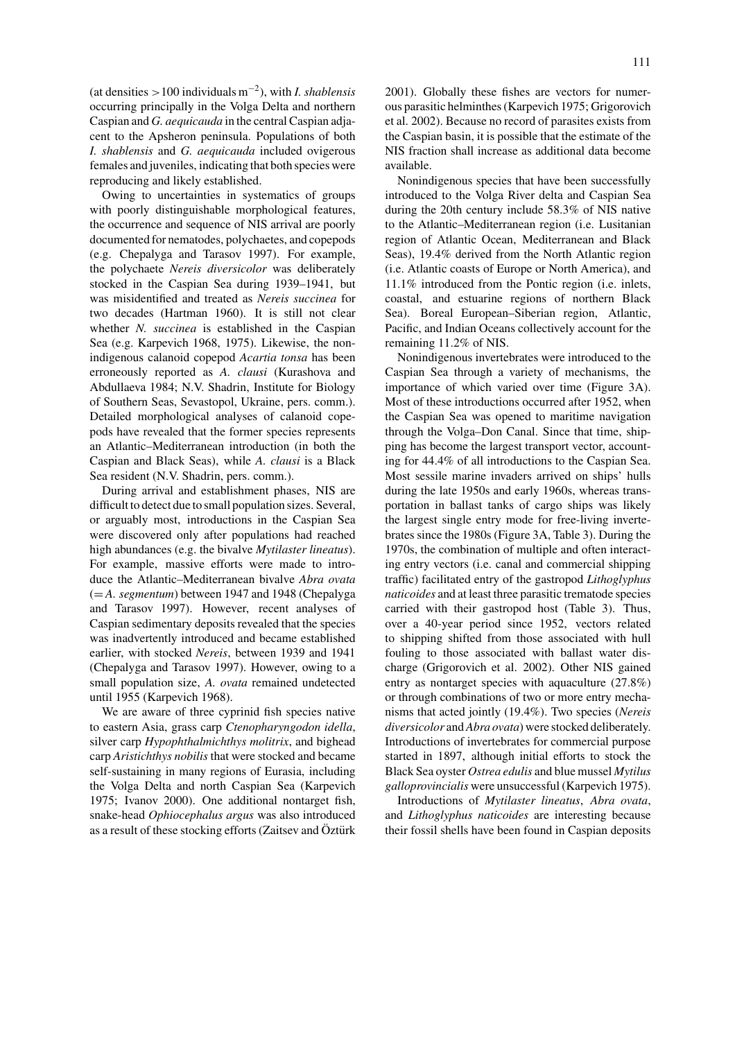(at densities >100 individuals m−2), with *I. shablensis* occurring principally in the Volga Delta and northern Caspian and *G. aequicauda* in the central Caspian adjacent to the Apsheron peninsula. Populations of both *I. shablensis* and *G. aequicauda* included ovigerous females and juveniles, indicating that both species were reproducing and likely established.

Owing to uncertainties in systematics of groups with poorly distinguishable morphological features, the occurrence and sequence of NIS arrival are poorly documented for nematodes, polychaetes, and copepods (e.g. Chepalyga and Tarasov 1997). For example, the polychaete *Nereis diversicolor* was deliberately stocked in the Caspian Sea during 1939–1941, but was misidentified and treated as *Nereis succinea* for two decades (Hartman 1960). It is still not clear whether *N. succinea* is established in the Caspian Sea (e.g. Karpevich 1968, 1975). Likewise, the nonindigenous calanoid copepod *Acartia tonsa* has been erroneously reported as *A. clausi* (Kurashova and Abdullaeva 1984; N.V. Shadrin, Institute for Biology of Southern Seas, Sevastopol, Ukraine, pers. comm.). Detailed morphological analyses of calanoid copepods have revealed that the former species represents an Atlantic–Mediterranean introduction (in both the Caspian and Black Seas), while *A. clausi* is a Black Sea resident (N.V. Shadrin, pers. comm.).

During arrival and establishment phases, NIS are difficult to detect due to small population sizes. Several, or arguably most, introductions in the Caspian Sea were discovered only after populations had reached high abundances (e.g. the bivalve *Mytilaster lineatus*). For example, massive efforts were made to introduce the Atlantic–Mediterranean bivalve *Abra ovata* (= *A. segmentum*) between 1947 and 1948 (Chepalyga and Tarasov 1997). However, recent analyses of Caspian sedimentary deposits revealed that the species was inadvertently introduced and became established earlier, with stocked *Nereis*, between 1939 and 1941 (Chepalyga and Tarasov 1997). However, owing to a small population size, *A. ovata* remained undetected until 1955 (Karpevich 1968).

We are aware of three cyprinid fish species native to eastern Asia, grass carp *Ctenopharyngodon idella*, silver carp *Hypophthalmichthys molitrix*, and bighead carp *Aristichthys nobilis* that were stocked and became self-sustaining in many regions of Eurasia, including the Volga Delta and north Caspian Sea (Karpevich 1975; Ivanov 2000). One additional nontarget fish, snake-head *Ophiocephalus argus* was also introduced as a result of these stocking efforts (Zaitsev and Oztürk 2001). Globally these fishes are vectors for numerous parasitic helminthes (Karpevich 1975; Grigorovich et al. 2002). Because no record of parasites exists from the Caspian basin, it is possible that the estimate of the NIS fraction shall increase as additional data become available.

Nonindigenous species that have been successfully introduced to the Volga River delta and Caspian Sea during the 20th century include 58.3% of NIS native to the Atlantic–Mediterranean region (i.e. Lusitanian region of Atlantic Ocean, Mediterranean and Black Seas), 19.4% derived from the North Atlantic region (i.e. Atlantic coasts of Europe or North America), and 11.1% introduced from the Pontic region (i.e. inlets, coastal, and estuarine regions of northern Black Sea). Boreal European–Siberian region, Atlantic, Pacific, and Indian Oceans collectively account for the remaining 11.2% of NIS.

Nonindigenous invertebrates were introduced to the Caspian Sea through a variety of mechanisms, the importance of which varied over time (Figure 3A). Most of these introductions occurred after 1952, when the Caspian Sea was opened to maritime navigation through the Volga–Don Canal. Since that time, shipping has become the largest transport vector, accounting for 44.4% of all introductions to the Caspian Sea. Most sessile marine invaders arrived on ships' hulls during the late 1950s and early 1960s, whereas transportation in ballast tanks of cargo ships was likely the largest single entry mode for free-living invertebrates since the 1980s (Figure 3A, Table 3). During the 1970s, the combination of multiple and often interacting entry vectors (i.e. canal and commercial shipping traffic) facilitated entry of the gastropod *Lithoglyphus naticoides* and at least three parasitic trematode species carried with their gastropod host (Table 3). Thus, over a 40-year period since 1952, vectors related to shipping shifted from those associated with hull fouling to those associated with ballast water discharge (Grigorovich et al. 2002). Other NIS gained entry as nontarget species with aquaculture (27.8%) or through combinations of two or more entry mechanisms that acted jointly (19.4%). Two species (*Nereis diversicolor* and*Abra ovata*) were stocked deliberately. Introductions of invertebrates for commercial purpose started in 1897, although initial efforts to stock the Black Sea oyster *Ostrea edulis* and blue mussel *Mytilus galloprovincialis* were unsuccessful (Karpevich 1975).

Introductions of *Mytilaster lineatus*, *Abra ovata*, and *Lithoglyphus naticoides* are interesting because their fossil shells have been found in Caspian deposits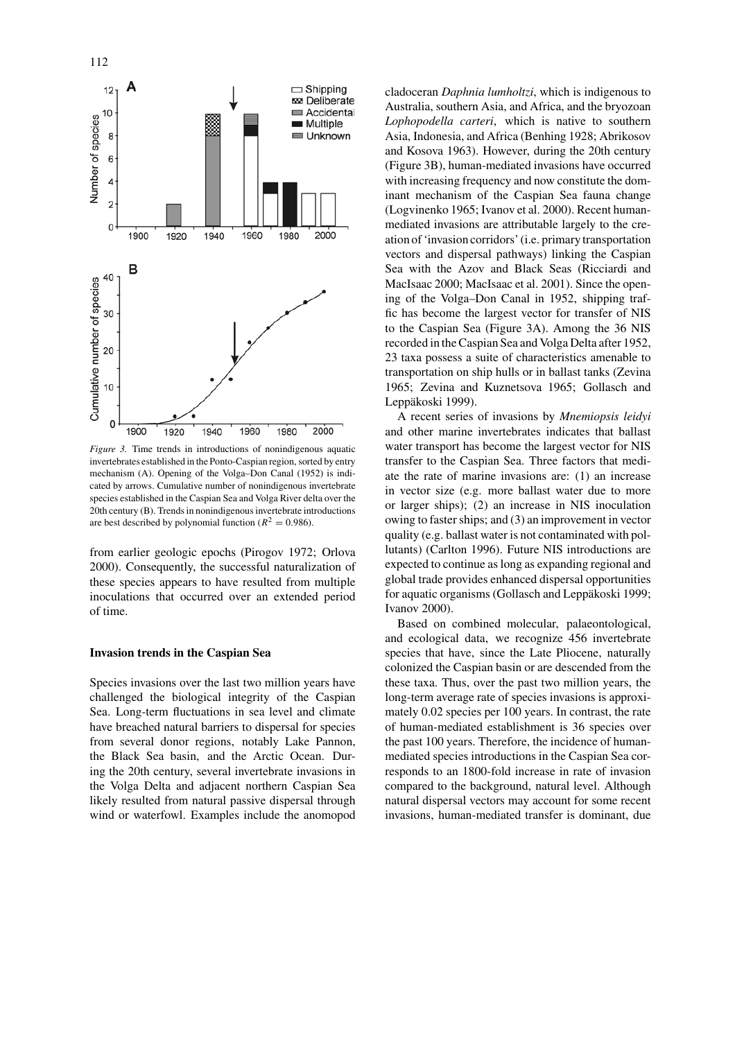

*Figure 3.* Time trends in introductions of nonindigenous aquatic invertebrates established in the Ponto-Caspian region, sorted by entry mechanism (A). Opening of the Volga–Don Canal (1952) is indicated by arrows. Cumulative number of nonindigenous invertebrate species established in the Caspian Sea and Volga River delta over the 20th century (B). Trends in nonindigenous invertebrate introductions are best described by polynomial function ( $R^2 = 0.986$ ).

from earlier geologic epochs (Pirogov 1972; Orlova 2000). Consequently, the successful naturalization of these species appears to have resulted from multiple inoculations that occurred over an extended period of time.

## **Invasion trends in the Caspian Sea**

Species invasions over the last two million years have challenged the biological integrity of the Caspian Sea. Long-term fluctuations in sea level and climate have breached natural barriers to dispersal for species from several donor regions, notably Lake Pannon, the Black Sea basin, and the Arctic Ocean. During the 20th century, several invertebrate invasions in the Volga Delta and adjacent northern Caspian Sea likely resulted from natural passive dispersal through wind or waterfowl. Examples include the anomopod cladoceran *Daphnia lumholtzi*, which is indigenous to Australia, southern Asia, and Africa, and the bryozoan *Lophopodella carteri*, which is native to southern Asia, Indonesia, and Africa (Benhing 1928; Abrikosov and Kosova 1963). However, during the 20th century (Figure 3B), human-mediated invasions have occurred with increasing frequency and now constitute the dominant mechanism of the Caspian Sea fauna change (Logvinenko 1965; Ivanov et al. 2000). Recent humanmediated invasions are attributable largely to the creation of 'invasion corridors' (i.e. primary transportation vectors and dispersal pathways) linking the Caspian Sea with the Azov and Black Seas (Ricciardi and MacIsaac 2000; MacIsaac et al. 2001). Since the opening of the Volga–Don Canal in 1952, shipping traffic has become the largest vector for transfer of NIS to the Caspian Sea (Figure 3A). Among the 36 NIS recorded in the Caspian Sea and Volga Delta after 1952, 23 taxa possess a suite of characteristics amenable to transportation on ship hulls or in ballast tanks (Zevina 1965; Zevina and Kuznetsova 1965; Gollasch and Leppäkoski 1999).

A recent series of invasions by *Mnemiopsis leidyi* and other marine invertebrates indicates that ballast water transport has become the largest vector for NIS transfer to the Caspian Sea. Three factors that mediate the rate of marine invasions are: (1) an increase in vector size (e.g. more ballast water due to more or larger ships); (2) an increase in NIS inoculation owing to faster ships; and (3) an improvement in vector quality (e.g. ballast water is not contaminated with pollutants) (Carlton 1996). Future NIS introductions are expected to continue as long as expanding regional and global trade provides enhanced dispersal opportunities for aquatic organisms (Gollasch and Leppäkoski 1999; Ivanov 2000).

Based on combined molecular, palaeontological, and ecological data, we recognize 456 invertebrate species that have, since the Late Pliocene, naturally colonized the Caspian basin or are descended from the these taxa. Thus, over the past two million years, the long-term average rate of species invasions is approximately 0.02 species per 100 years. In contrast, the rate of human-mediated establishment is 36 species over the past 100 years. Therefore, the incidence of humanmediated species introductions in the Caspian Sea corresponds to an 1800-fold increase in rate of invasion compared to the background, natural level. Although natural dispersal vectors may account for some recent invasions, human-mediated transfer is dominant, due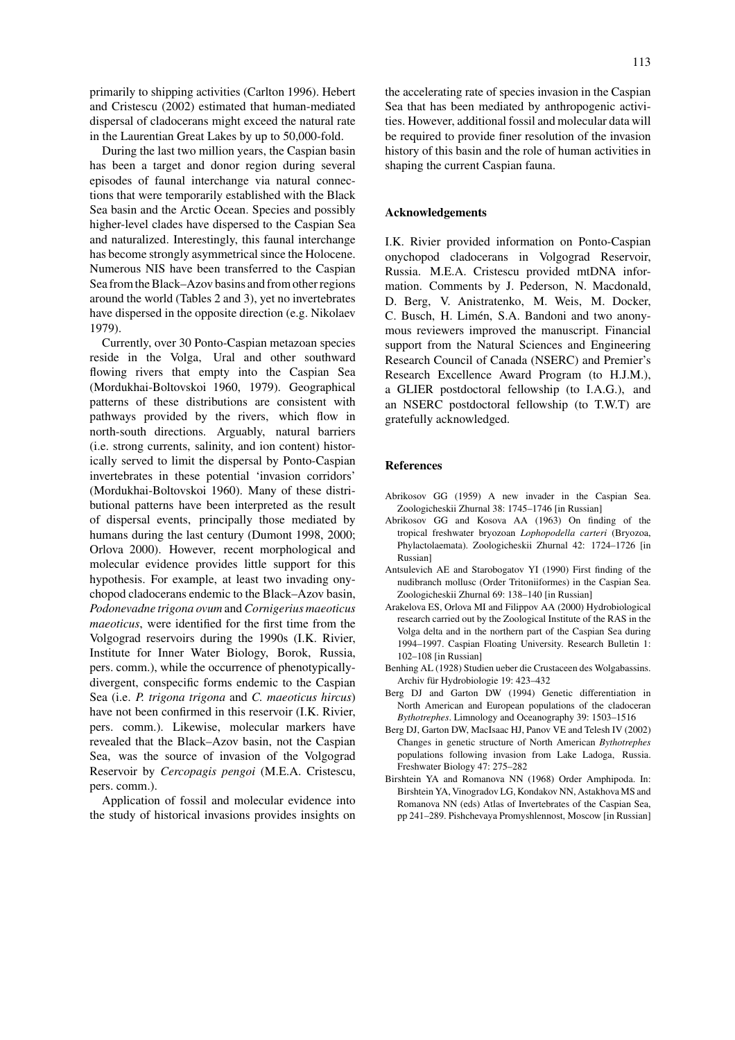primarily to shipping activities (Carlton 1996). Hebert and Cristescu (2002) estimated that human-mediated dispersal of cladocerans might exceed the natural rate in the Laurentian Great Lakes by up to 50,000-fold.

During the last two million years, the Caspian basin has been a target and donor region during several episodes of faunal interchange via natural connections that were temporarily established with the Black Sea basin and the Arctic Ocean. Species and possibly higher-level clades have dispersed to the Caspian Sea and naturalized. Interestingly, this faunal interchange has become strongly asymmetrical since the Holocene. Numerous NIS have been transferred to the Caspian Sea from the Black–Azov basins and from other regions around the world (Tables 2 and 3), yet no invertebrates have dispersed in the opposite direction (e.g. Nikolaev 1979).

Currently, over 30 Ponto-Caspian metazoan species reside in the Volga, Ural and other southward flowing rivers that empty into the Caspian Sea (Mordukhai-Boltovskoi 1960, 1979). Geographical patterns of these distributions are consistent with pathways provided by the rivers, which flow in north-south directions. Arguably, natural barriers (i.e. strong currents, salinity, and ion content) historically served to limit the dispersal by Ponto-Caspian invertebrates in these potential 'invasion corridors' (Mordukhai-Boltovskoi 1960). Many of these distributional patterns have been interpreted as the result of dispersal events, principally those mediated by humans during the last century (Dumont 1998, 2000; Orlova 2000). However, recent morphological and molecular evidence provides little support for this hypothesis. For example, at least two invading onychopod cladocerans endemic to the Black–Azov basin, *Podonevadne trigona ovum* and*Cornigerius maeoticus maeoticus*, were identified for the first time from the Volgograd reservoirs during the 1990s (I.K. Rivier, Institute for Inner Water Biology, Borok, Russia, pers. comm.), while the occurrence of phenotypicallydivergent, conspecific forms endemic to the Caspian Sea (i.e. *P. trigona trigona* and *C. maeoticus hircus*) have not been confirmed in this reservoir (I.K. Rivier, pers. comm.). Likewise, molecular markers have revealed that the Black–Azov basin, not the Caspian Sea, was the source of invasion of the Volgograd Reservoir by *Cercopagis pengoi* (M.E.A. Cristescu, pers. comm.).

Application of fossil and molecular evidence into the study of historical invasions provides insights on

the accelerating rate of species invasion in the Caspian Sea that has been mediated by anthropogenic activities. However, additional fossil and molecular data will be required to provide finer resolution of the invasion history of this basin and the role of human activities in shaping the current Caspian fauna.

## **Acknowledgements**

I.K. Rivier provided information on Ponto-Caspian onychopod cladocerans in Volgograd Reservoir, Russia. M.E.A. Cristescu provided mtDNA information. Comments by J. Pederson, N. Macdonald, D. Berg, V. Anistratenko, M. Weis, M. Docker, C. Busch, H. Limén, S.A. Bandoni and two anonymous reviewers improved the manuscript. Financial support from the Natural Sciences and Engineering Research Council of Canada (NSERC) and Premier's Research Excellence Award Program (to H.J.M.), a GLIER postdoctoral fellowship (to I.A.G.), and an NSERC postdoctoral fellowship (to T.W.T) are gratefully acknowledged.

## **References**

- Abrikosov GG (1959) A new invader in the Caspian Sea. Zoologicheskii Zhurnal 38: 1745–1746 [in Russian]
- Abrikosov GG and Kosova AA (1963) On finding of the tropical freshwater bryozoan *Lophopodella carteri* (Bryozoa, Phylactolaemata). Zoologicheskii Zhurnal 42: 1724–1726 [in Russian]
- Antsulevich AE and Starobogatov YI (1990) First finding of the nudibranch mollusc (Order Tritoniiformes) in the Caspian Sea. Zoologicheskii Zhurnal 69: 138–140 [in Russian]
- Arakelova ES, Orlova MI and Filippov AA (2000) Hydrobiological research carried out by the Zoological Institute of the RAS in the Volga delta and in the northern part of the Caspian Sea during 1994–1997. Caspian Floating University. Research Bulletin 1: 102–108 [in Russian]
- Benhing AL (1928) Studien ueber die Crustaceen des Wolgabassins. Archiv für Hydrobiologie 19: 423-432
- Berg DJ and Garton DW (1994) Genetic differentiation in North American and European populations of the cladoceran *Bythotrephes*. Limnology and Oceanography 39: 1503–1516
- Berg DJ, Garton DW, MacIsaac HJ, Panov VE and Telesh IV (2002) Changes in genetic structure of North American *Bythotrephes* populations following invasion from Lake Ladoga, Russia. Freshwater Biology 47: 275–282
- Birshtein YA and Romanova NN (1968) Order Amphipoda. In: Birshtein YA, Vinogradov LG, Kondakov NN, Astakhova MS and Romanova NN (eds) Atlas of Invertebrates of the Caspian Sea, pp 241–289. Pishchevaya Promyshlennost, Moscow [in Russian]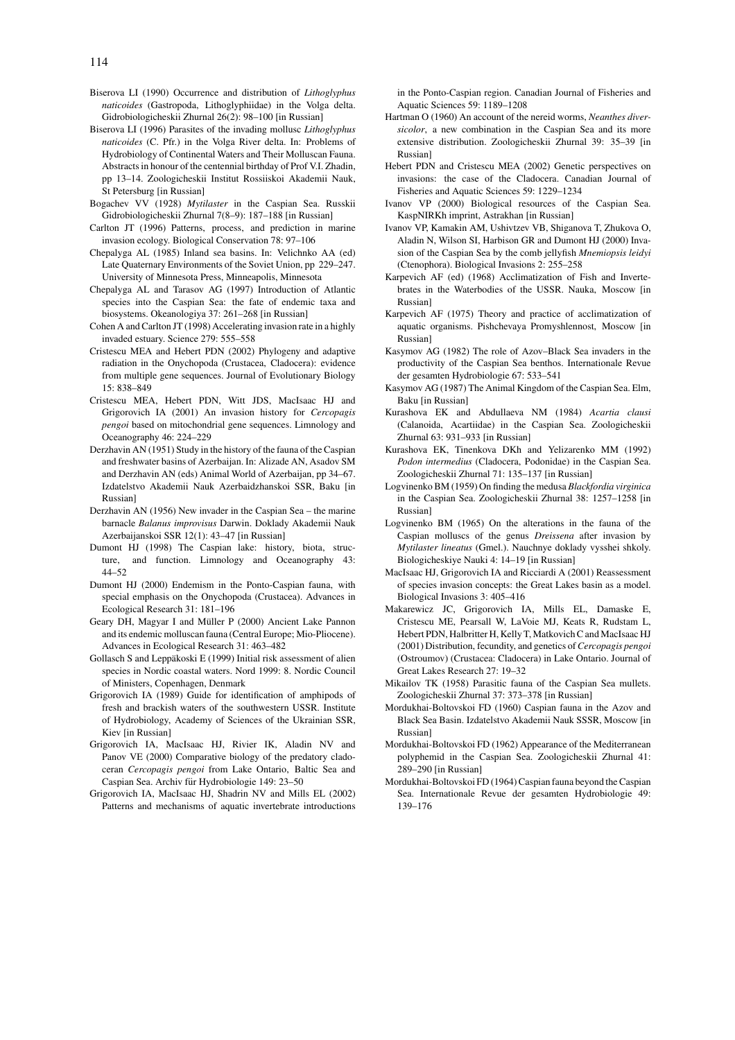- Biserova LI (1990) Occurrence and distribution of *Lithoglyphus naticoides* (Gastropoda, Lithoglyphiidae) in the Volga delta. Gidrobiologicheskii Zhurnal 26(2): 98–100 [in Russian]
- Biserova LI (1996) Parasites of the invading mollusc *Lithoglyphus naticoides* (C. Pfr.) in the Volga River delta. In: Problems of Hydrobiology of Continental Waters and Their Molluscan Fauna. Abstracts in honour of the centennial birthday of Prof V.I. Zhadin, pp 13–14. Zoologicheskii Institut Rossiiskoi Akademii Nauk, St Petersburg [in Russian]
- Bogachev VV (1928) *Mytilaster* in the Caspian Sea. Russkii Gidrobiologicheskii Zhurnal 7(8–9): 187–188 [in Russian]
- Carlton JT (1996) Patterns, process, and prediction in marine invasion ecology. Biological Conservation 78: 97–106
- Chepalyga AL (1985) Inland sea basins. In: Velichnko AA (ed) Late Quaternary Environments of the Soviet Union, pp 229–247. University of Minnesota Press, Minneapolis, Minnesota
- Chepalyga AL and Tarasov AG (1997) Introduction of Atlantic species into the Caspian Sea: the fate of endemic taxa and biosystems. Okeanologiya 37: 261–268 [in Russian]
- Cohen A and Carlton JT (1998) Accelerating invasion rate in a highly invaded estuary. Science 279: 555–558
- Cristescu MEA and Hebert PDN (2002) Phylogeny and adaptive radiation in the Onychopoda (Crustacea, Cladocera): evidence from multiple gene sequences. Journal of Evolutionary Biology 15: 838–849
- Cristescu MEA, Hebert PDN, Witt JDS, MacIsaac HJ and Grigorovich IA (2001) An invasion history for *Cercopagis pengoi* based on mitochondrial gene sequences. Limnology and Oceanography 46: 224–229
- Derzhavin AN (1951) Study in the history of the fauna of the Caspian and freshwater basins of Azerbaijan. In: Alizade AN, Asadov SM and Derzhavin AN (eds) Animal World of Azerbaijan, pp 34–67. Izdatelstvo Akademii Nauk Azerbaidzhanskoi SSR, Baku [in Russian]
- Derzhavin AN (1956) New invader in the Caspian Sea the marine barnacle *Balanus improvisus* Darwin. Doklady Akademii Nauk Azerbaijanskoi SSR 12(1): 43–47 [in Russian]
- Dumont HJ (1998) The Caspian lake: history, biota, structure, and function. Limnology and Oceanography 43: 44–52
- Dumont HJ (2000) Endemism in the Ponto-Caspian fauna, with special emphasis on the Onychopoda (Crustacea). Advances in Ecological Research 31: 181–196
- Geary DH, Magyar I and Müller P (2000) Ancient Lake Pannon and its endemic molluscan fauna (Central Europe; Mio-Pliocene). Advances in Ecological Research 31: 463–482
- Gollasch S and Leppäkoski E (1999) Initial risk assessment of alien species in Nordic coastal waters. Nord 1999: 8. Nordic Council of Ministers, Copenhagen, Denmark
- Grigorovich IA (1989) Guide for identification of amphipods of fresh and brackish waters of the southwestern USSR. Institute of Hydrobiology, Academy of Sciences of the Ukrainian SSR, Kiev [in Russian]
- Grigorovich IA, MacIsaac HJ, Rivier IK, Aladin NV and Panov VE (2000) Comparative biology of the predatory cladoceran *Cercopagis pengoi* from Lake Ontario, Baltic Sea and Caspian Sea. Archiv für Hydrobiologie 149: 23-50
- Grigorovich IA, MacIsaac HJ, Shadrin NV and Mills EL (2002) Patterns and mechanisms of aquatic invertebrate introductions

in the Ponto-Caspian region. Canadian Journal of Fisheries and Aquatic Sciences 59: 1189–1208

- Hartman O (1960) An account of the nereid worms, *Neanthes diversicolor*, a new combination in the Caspian Sea and its more extensive distribution. Zoologicheskii Zhurnal 39: 35–39 [in Russian]
- Hebert PDN and Cristescu MEA (2002) Genetic perspectives on invasions: the case of the Cladocera. Canadian Journal of Fisheries and Aquatic Sciences 59: 1229–1234
- Ivanov VP (2000) Biological resources of the Caspian Sea. KaspNIRKh imprint, Astrakhan [in Russian]
- Ivanov VP, Kamakin AM, Ushivtzev VB, Shiganova T, Zhukova O, Aladin N, Wilson SI, Harbison GR and Dumont HJ (2000) Invasion of the Caspian Sea by the comb jellyfish *Mnemiopsis leidyi* (Ctenophora). Biological Invasions 2: 255–258
- Karpevich AF (ed) (1968) Acclimatization of Fish and Invertebrates in the Waterbodies of the USSR. Nauka, Moscow [in Russian]
- Karpevich AF (1975) Theory and practice of acclimatization of aquatic organisms. Pishchevaya Promyshlennost, Moscow [in Russian]
- Kasymov AG (1982) The role of Azov–Black Sea invaders in the productivity of the Caspian Sea benthos. Internationale Revue der gesamten Hydrobiologie 67: 533–541
- Kasymov AG (1987) The Animal Kingdom of the Caspian Sea. Elm, Baku [in Russian]
- Kurashova EK and Abdullaeva NM (1984) *Acartia clausi* (Calanoida, Acartiidae) in the Caspian Sea. Zoologicheskii Zhurnal 63: 931–933 [in Russian]
- Kurashova EK, Tinenkova DKh and Yelizarenko MM (1992) *Podon intermedius* (Cladocera, Podonidae) in the Caspian Sea. Zoologicheskii Zhurnal 71: 135–137 [in Russian]
- Logvinenko BM (1959) On finding the medusa *Blackfordia virginica* in the Caspian Sea. Zoologicheskii Zhurnal 38: 1257–1258 [in Russian]
- Logvinenko BM (1965) On the alterations in the fauna of the Caspian molluscs of the genus *Dreissena* after invasion by *Mytilaster lineatus* (Gmel.). Nauchnye doklady vysshei shkoly. Biologicheskiye Nauki 4: 14–19 [in Russian]
- MacIsaac HJ, Grigorovich IA and Ricciardi A (2001) Reassessment of species invasion concepts: the Great Lakes basin as a model. Biological Invasions 3: 405–416
- Makarewicz JC, Grigorovich IA, Mills EL, Damaske E, Cristescu ME, Pearsall W, LaVoie MJ, Keats R, Rudstam L, Hebert PDN, Halbritter H, Kelly T, Matkovich C and MacIsaac HJ (2001) Distribution, fecundity, and genetics of*Cercopagis pengoi* (Ostroumov) (Crustacea: Cladocera) in Lake Ontario. Journal of Great Lakes Research 27: 19–32
- Mikailov TK (1958) Parasitic fauna of the Caspian Sea mullets. Zoologicheskii Zhurnal 37: 373–378 [in Russian]
- Mordukhai-Boltovskoi FD (1960) Caspian fauna in the Azov and Black Sea Basin. Izdatelstvo Akademii Nauk SSSR, Moscow [in Russian]
- Mordukhai-Boltovskoi FD (1962) Appearance of the Mediterranean polyphemid in the Caspian Sea. Zoologicheskii Zhurnal 41: 289–290 [in Russian]
- Mordukhai-Boltovskoi FD (1964) Caspian fauna beyond the Caspian Sea. Internationale Revue der gesamten Hydrobiologie 49: 139–176